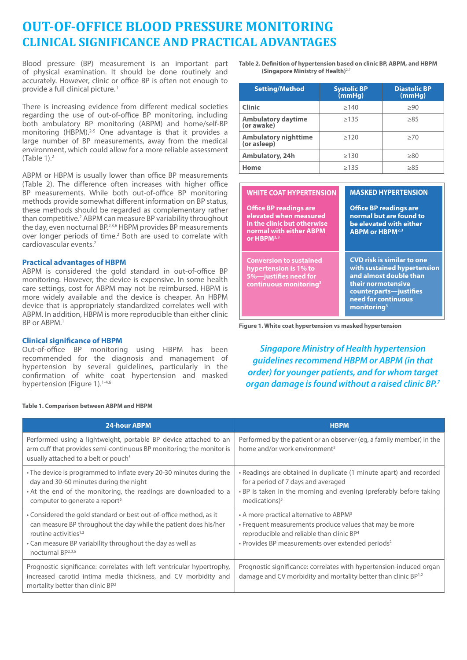## **OUT-OF-OFFICE BLOOD PRESSURE MONITORING CLINICAL SIGNIFICANCE AND PRACTICAL ADVANTAGES**

Blood pressure (BP) measurement is an important part of physical examination. It should be done routinely and accurately. However, clinic or office BP is often not enough to provide a full clinical picture.<sup>1</sup>

There is increasing evidence from different medical societies regarding the use of out-of-office BP monitoring, including both ambulatory BP monitoring (ABPM) and home/self-BP monitoring (HBPM).<sup>2-5</sup> One advantage is that it provides a large number of BP measurements, away from the medical environment, which could allow for a more reliable assessment (Table 1).2

ABPM or HBPM is usually lower than office BP measurements (Table 2). The difference often increases with higher office BP measurements. While both out-of-office BP monitoring methods provide somewhat different information on BP status, these methods should be regarded as complementary rather than competitive.<sup>2</sup> ABPM can measure BP variability throughout the day, even nocturnal BP.2,3,6 HBPM provides BP measurements over longer periods of time.<sup>2</sup> Both are used to correlate with cardiovascular events.2

## **Practical advantages of HBPM**

ABPM is considered the gold standard in out-of-office BP monitoring. However, the device is expensive. In some health care settings, cost for ABPM may not be reimbursed. HBPM is more widely available and the device is cheaper. An HBPM device that is appropriately standardized correlates well with ABPM. In addition, HBPM is more reproducible than either clinic BP or ABPM.<sup>1</sup>

## **Clinical significance of HBPM**

Out-of-office BP monitoring using HBPM has been recommended for the diagnosis and management of hypertension by several guidelines, particularly in the confirmation of white coat hypertension and masked hypertension (Figure 1).<sup>1-4,6</sup>

**Table 1. Comparison between ABPM and HBPM**

**Table 2. Definition of hypertension based on clinic BP, ABPM, and HBPM (Singapore Ministry of Health)**2**,**<sup>7</sup>

| <b>Setting/Method</b>                   | <b>Systolic BP</b><br>(mmHg) | <b>Diastolic BP</b><br>(mmHg) |
|-----------------------------------------|------------------------------|-------------------------------|
| <b>Clinic</b>                           | >140                         | >90                           |
| <b>Ambulatory daytime</b><br>(or awake) | >135                         | >85                           |
| Ambulatory nighttime<br>(or asleep)     | >120                         | >70                           |
| Ambulatory, 24h                         | >130                         | >80                           |
| Home                                    | >135                         | >85                           |

| <b>WHITE COAT HYPERTENSION</b>                                                                                                              | <b>MASKED HYPERTENSION</b>                                                                                                                                                          |
|---------------------------------------------------------------------------------------------------------------------------------------------|-------------------------------------------------------------------------------------------------------------------------------------------------------------------------------------|
| <b>Office BP readings are</b><br>elevated when measured<br>in the clinic but otherwise<br>normal with either ABPM<br>or HBPM <sup>2,3</sup> | <b>Office BP readings are</b><br>normal but are found to<br>be elevated with either<br><b>ABPM or HBPM2,3</b>                                                                       |
| <b>Conversion to sustained</b><br>hypertension is 1% to<br>5%-justifies need for<br>continuous monitoring <sup>3</sup>                      | <b>CVD risk is similar to one</b><br>with sustained hypertension<br>and almost double than<br>their normotensive<br>counterparts-justifies<br>need for continuous<br>monitoring $3$ |

**Figure 1. White coat hypertension vs masked hypertension**

*Singapore Ministry of Health hypertension guidelines recommend HBPM or ABPM (in that order) for younger patients, and for whom target organ damage is found without a raised clinic BP.7*

| <b>24-hour ABPM</b>                                                                                                                                                                                                                                               | <b>HBPM</b>                                                                                                                                                                                                                              |
|-------------------------------------------------------------------------------------------------------------------------------------------------------------------------------------------------------------------------------------------------------------------|------------------------------------------------------------------------------------------------------------------------------------------------------------------------------------------------------------------------------------------|
| Performed using a lightweight, portable BP device attached to an<br>arm cuff that provides semi-continuous BP monitoring; the monitor is<br>usually attached to a belt or pouch <sup>5</sup>                                                                      | Performed by the patient or an observer (eg, a family member) in the<br>home and/or work environment <sup>5</sup>                                                                                                                        |
| • The device is programmed to inflate every 20-30 minutes during the<br>day and 30-60 minutes during the night<br>. At the end of the monitoring, the readings are downloaded to a<br>computer to generate a report <sup>5</sup>                                  | • Readings are obtained in duplicate (1 minute apart) and recorded<br>for a period of 7 days and averaged<br>. BP is taken in the morning and evening (preferably before taking<br>medications) $5$                                      |
| • Considered the gold standard or best out-of-office method, as it<br>can measure BP throughout the day while the patient does his/her<br>routine activities $1,3$<br>• Can measure BP variability throughout the day as well as<br>nocturnal BP <sup>2,3,6</sup> | • A more practical alternative to ABPM <sup>3</sup><br>• Frequent measurements produce values that may be more<br>reproducible and reliable than clinic BP <sup>4</sup><br>• Provides BP measurements over extended periods <sup>2</sup> |
| Prognostic significance: correlates with left ventricular hypertrophy,<br>increased carotid intima media thickness, and CV morbidity and<br>mortality better than clinic BP <sup>2</sup>                                                                          | Prognostic significance: correlates with hypertension-induced organ<br>damage and CV morbidity and mortality better than clinic BP <sup>1,2</sup>                                                                                        |